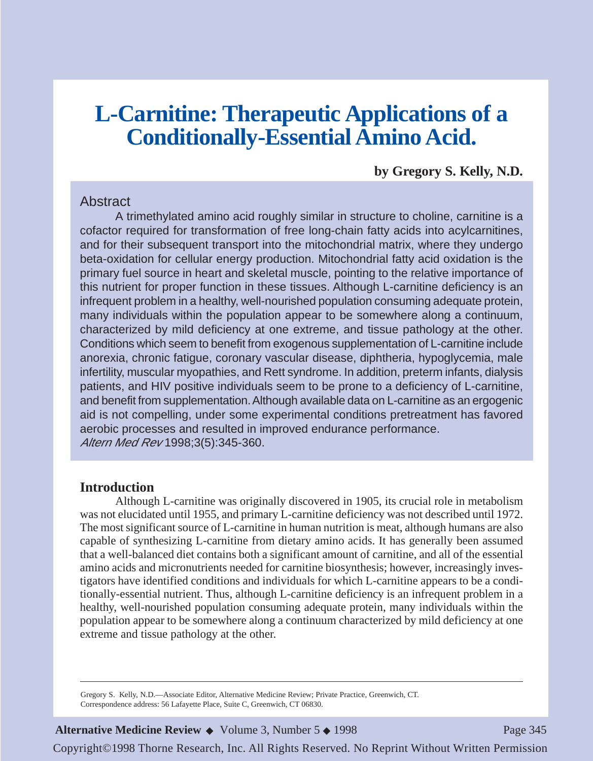# **L-Carnitine: Therapeutic Applications of a Conditionally-Essential Amino Acid.**

**by Gregory S. Kelly, N.D.**

#### **Abstract**

A trimethylated amino acid roughly similar in structure to choline, carnitine is a cofactor required for transformation of free long-chain fatty acids into acylcarnitines, and for their subsequent transport into the mitochondrial matrix, where they undergo beta-oxidation for cellular energy production. Mitochondrial fatty acid oxidation is the primary fuel source in heart and skeletal muscle, pointing to the relative importance of this nutrient for proper function in these tissues. Although L-carnitine deficiency is an infrequent problem in a healthy, well-nourished population consuming adequate protein, many individuals within the population appear to be somewhere along a continuum, characterized by mild deficiency at one extreme, and tissue pathology at the other. Conditions which seem to benefit from exogenous supplementation of L-carnitine include anorexia, chronic fatigue, coronary vascular disease, diphtheria, hypoglycemia, male infertility, muscular myopathies, and Rett syndrome. In addition, preterm infants, dialysis patients, and HIV positive individuals seem to be prone to a deficiency of L-carnitine, and benefit from supplementation. Although available data on L-carnitine as an ergogenic aid is not compelling, under some experimental conditions pretreatment has favored aerobic processes and resulted in improved endurance performance. Altern Med Rev 1998;3(5):345-360.

#### **Introduction**

Although L-carnitine was originally discovered in 1905, its crucial role in metabolism was not elucidated until 1955, and primary L-carnitine deficiency was not described until 1972. The most significant source of L-carnitine in human nutrition is meat, although humans are also capable of synthesizing L-carnitine from dietary amino acids. It has generally been assumed that a well-balanced diet contains both a significant amount of carnitine, and all of the essential amino acids and micronutrients needed for carnitine biosynthesis; however, increasingly investigators have identified conditions and individuals for which L-carnitine appears to be a conditionally-essential nutrient. Thus, although L-carnitine deficiency is an infrequent problem in a healthy, well-nourished population consuming adequate protein, many individuals within the population appear to be somewhere along a continuum characterized by mild deficiency at one extreme and tissue pathology at the other.

Gregory S. Kelly, N.D.—Associate Editor, Alternative Medicine Review; Private Practice, Greenwich, CT. Correspondence address: 56 Lafayette Place, Suite C, Greenwich, CT 06830.

**Alternative Medicine Review ◆** Volume 3, Number 5 ◆ 1998 Page 345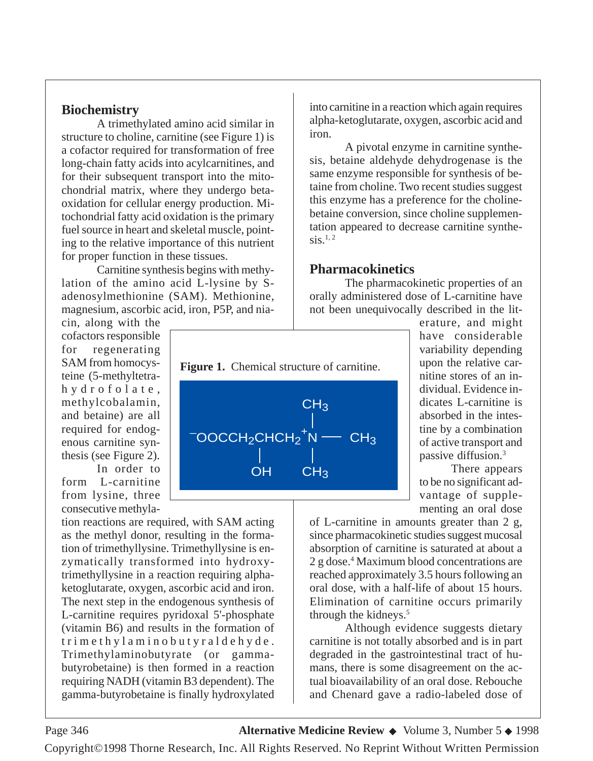#### **Biochemistry**

A trimethylated amino acid similar in structure to choline, carnitine (see Figure 1) is a cofactor required for transformation of free long-chain fatty acids into acylcarnitines, and for their subsequent transport into the mitochondrial matrix, where they undergo betaoxidation for cellular energy production. Mitochondrial fatty acid oxidation is the primary fuel source in heart and skeletal muscle, pointing to the relative importance of this nutrient for proper function in these tissues.

Carnitine synthesis begins with methylation of the amino acid L-lysine by Sadenosylmethionine (SAM). Methionine, magnesium, ascorbic acid, iron, P5P, and nia-

cin, along with the cofactors responsible for regenerating SAM from homocysteine (5-methyltetrahydrofolate, methylcobalamin, and betaine) are all required for endogenous carnitine synthesis (see Figure 2).

In order to form L-carnitine from lysine, three consecutive methyla-

tion reactions are required, with SAM acting as the methyl donor, resulting in the formation of trimethyllysine. Trimethyllysine is enzymatically transformed into hydroxytrimethyllysine in a reaction requiring alphaketoglutarate, oxygen, ascorbic acid and iron. The next step in the endogenous synthesis of L-carnitine requires pyridoxal 5'-phosphate (vitamin B6) and results in the formation of trimethylaminobutyraldehyde. Trimethylaminobutyrate (or gammabutyrobetaine) is then formed in a reaction requiring NADH (vitamin B3 dependent). The gamma-butyrobetaine is finally hydroxylated

into carnitine in a reaction which again requires alpha-ketoglutarate, oxygen, ascorbic acid and iron.

A pivotal enzyme in carnitine synthesis, betaine aldehyde dehydrogenase is the same enzyme responsible for synthesis of betaine from choline. Two recent studies suggest this enzyme has a preference for the cholinebetaine conversion, since choline supplementation appeared to decrease carnitine synthe- $\text{sis}$ <sup>1, 2</sup>

#### **Pharmacokinetics**

The pharmacokinetic properties of an orally administered dose of L-carnitine have not been unequivocally described in the lit-



erature, and might have considerable variability depending upon the relative carnitine stores of an individual. Evidence indicates L-carnitine is absorbed in the intestine by a combination of active transport and passive diffusion.3

There appears to be no significant advantage of supplementing an oral dose

of L-carnitine in amounts greater than 2 g, since pharmacokinetic studies suggest mucosal absorption of carnitine is saturated at about a 2 g dose.4 Maximum blood concentrations are reached approximately 3.5 hours following an oral dose, with a half-life of about 15 hours. Elimination of carnitine occurs primarily through the kidneys.<sup>5</sup>

Although evidence suggests dietary carnitine is not totally absorbed and is in part degraded in the gastrointestinal tract of humans, there is some disagreement on the actual bioavailability of an oral dose. Rebouche and Chenard gave a radio-labeled dose of

### Page 346 **Alternative Medicine Review** ◆ Volume 3, Number 5 ◆ 1998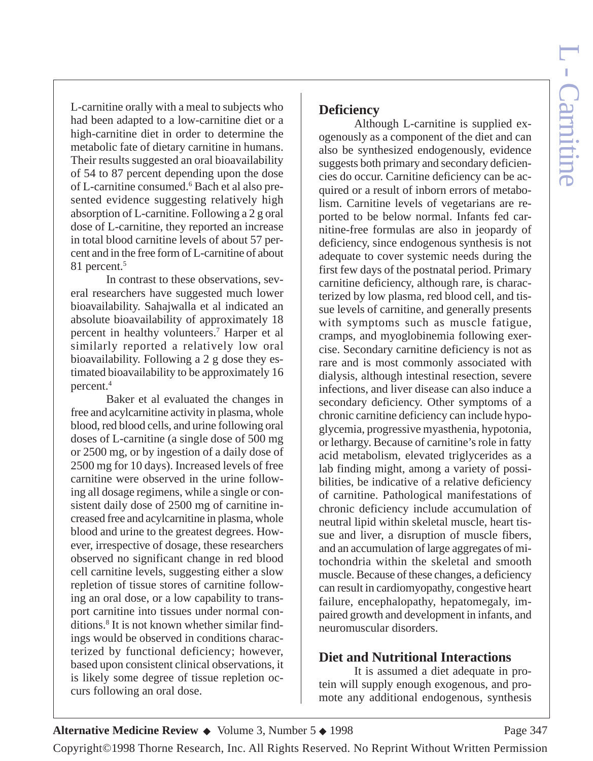L-carnitine orally with a meal to subjects who had been adapted to a low-carnitine diet or a high-carnitine diet in order to determine the metabolic fate of dietary carnitine in humans. Their results suggested an oral bioavailability of 54 to 87 percent depending upon the dose of L-carnitine consumed.6 Bach et al also presented evidence suggesting relatively high absorption of L-carnitine. Following a 2 g oral dose of L-carnitine, they reported an increase in total blood carnitine levels of about 57 percent and in the free form of L-carnitine of about 81 percent.<sup>5</sup>

In contrast to these observations, several researchers have suggested much lower bioavailability. Sahajwalla et al indicated an absolute bioavailability of approximately 18 percent in healthy volunteers.7 Harper et al similarly reported a relatively low oral bioavailability. Following a 2 g dose they estimated bioavailability to be approximately 16 percent.4

Baker et al evaluated the changes in free and acylcarnitine activity in plasma, whole blood, red blood cells, and urine following oral doses of L-carnitine (a single dose of 500 mg or 2500 mg, or by ingestion of a daily dose of 2500 mg for 10 days). Increased levels of free carnitine were observed in the urine following all dosage regimens, while a single or consistent daily dose of 2500 mg of carnitine increased free and acylcarnitine in plasma, whole blood and urine to the greatest degrees. However, irrespective of dosage, these researchers observed no significant change in red blood cell carnitine levels, suggesting either a slow repletion of tissue stores of carnitine following an oral dose, or a low capability to transport carnitine into tissues under normal conditions.8 It is not known whether similar findings would be observed in conditions characterized by functional deficiency; however, based upon consistent clinical observations, it is likely some degree of tissue repletion occurs following an oral dose.

### **Deficiency**

Although L-carnitine is supplied exogenously as a component of the diet and can also be synthesized endogenously, evidence suggests both primary and secondary deficiencies do occur. Carnitine deficiency can be acquired or a result of inborn errors of metabolism. Carnitine levels of vegetarians are reported to be below normal. Infants fed carnitine-free formulas are also in jeopardy of deficiency, since endogenous synthesis is not adequate to cover systemic needs during the first few days of the postnatal period. Primary carnitine deficiency, although rare, is characterized by low plasma, red blood cell, and tissue levels of carnitine, and generally presents with symptoms such as muscle fatigue, cramps, and myoglobinemia following exercise. Secondary carnitine deficiency is not as rare and is most commonly associated with dialysis, although intestinal resection, severe infections, and liver disease can also induce a secondary deficiency. Other symptoms of a chronic carnitine deficiency can include hypoglycemia, progressive myasthenia, hypotonia, or lethargy. Because of carnitine's role in fatty acid metabolism, elevated triglycerides as a lab finding might, among a variety of possibilities, be indicative of a relative deficiency of carnitine. Pathological manifestations of chronic deficiency include accumulation of neutral lipid within skeletal muscle, heart tissue and liver, a disruption of muscle fibers, and an accumulation of large aggregates of mitochondria within the skeletal and smooth muscle. Because of these changes, a deficiency can result in cardiomyopathy, congestive heart failure, encephalopathy, hepatomegaly, impaired growth and development in infants, and neuromuscular disorders.

## **Diet and Nutritional Interactions**

It is assumed a diet adequate in protein will supply enough exogenous, and promote any additional endogenous, synthesis

#### **Alternative Medicine Review ◆** Volume 3, Number 5 ◆ 1998 Page 347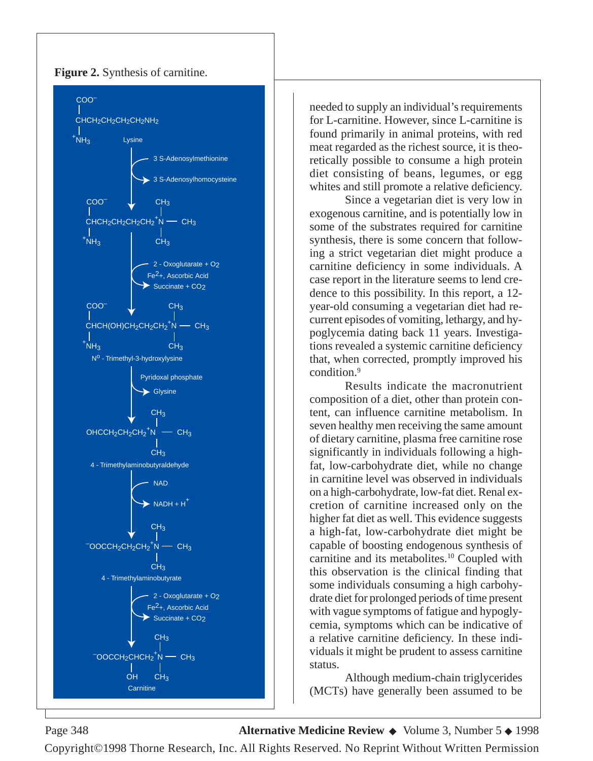

**Figure 2.** Synthesis of carnitine.

needed to supply an individual's requirements for L-carnitine. However, since L-carnitine is found primarily in animal proteins, with red meat regarded as the richest source, it is theoretically possible to consume a high protein diet consisting of beans, legumes, or egg whites and still promote a relative deficiency.

Since a vegetarian diet is very low in exogenous carnitine, and is potentially low in some of the substrates required for carnitine synthesis, there is some concern that following a strict vegetarian diet might produce a carnitine deficiency in some individuals. A case report in the literature seems to lend credence to this possibility. In this report, a 12 year-old consuming a vegetarian diet had recurrent episodes of vomiting, lethargy, and hypoglycemia dating back 11 years. Investigations revealed a systemic carnitine deficiency that, when corrected, promptly improved his condition.9

Results indicate the macronutrient composition of a diet, other than protein content, can influence carnitine metabolism. In seven healthy men receiving the same amount of dietary carnitine, plasma free carnitine rose significantly in individuals following a highfat, low-carbohydrate diet, while no change in carnitine level was observed in individuals on a high-carbohydrate, low-fat diet. Renal excretion of carnitine increased only on the higher fat diet as well. This evidence suggests a high-fat, low-carbohydrate diet might be capable of boosting endogenous synthesis of carnitine and its metabolites.<sup>10</sup> Coupled with this observation is the clinical finding that some individuals consuming a high carbohydrate diet for prolonged periods of time present with vague symptoms of fatigue and hypoglycemia, symptoms which can be indicative of a relative carnitine deficiency. In these individuals it might be prudent to assess carnitine status.

Although medium-chain triglycerides (MCTs) have generally been assumed to be

Page 348 **Alternative Medicine Review** ◆ Volume 3, Number 5 ◆ 1998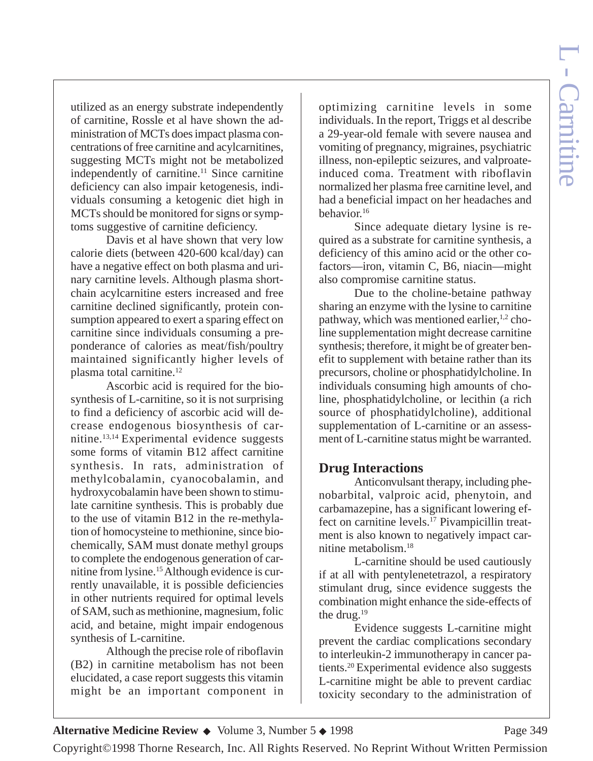utilized as an energy substrate independently of carnitine, Rossle et al have shown the administration of MCTs does impact plasma concentrations of free carnitine and acylcarnitines, suggesting MCTs might not be metabolized independently of carnitine.<sup>11</sup> Since carnitine deficiency can also impair ketogenesis, individuals consuming a ketogenic diet high in MCTs should be monitored for signs or symptoms suggestive of carnitine deficiency.

Davis et al have shown that very low calorie diets (between 420-600 kcal/day) can have a negative effect on both plasma and urinary carnitine levels. Although plasma shortchain acylcarnitine esters increased and free carnitine declined significantly, protein consumption appeared to exert a sparing effect on carnitine since individuals consuming a preponderance of calories as meat/fish/poultry maintained significantly higher levels of plasma total carnitine.12

Ascorbic acid is required for the biosynthesis of L-carnitine, so it is not surprising to find a deficiency of ascorbic acid will decrease endogenous biosynthesis of carnitine.13,14 Experimental evidence suggests some forms of vitamin B12 affect carnitine synthesis. In rats, administration of methylcobalamin, cyanocobalamin, and hydroxycobalamin have been shown to stimulate carnitine synthesis. This is probably due to the use of vitamin B12 in the re-methylation of homocysteine to methionine, since biochemically, SAM must donate methyl groups to complete the endogenous generation of carnitine from lysine.15 Although evidence is currently unavailable, it is possible deficiencies in other nutrients required for optimal levels of SAM, such as methionine, magnesium, folic acid, and betaine, might impair endogenous synthesis of L-carnitine.

Although the precise role of riboflavin (B2) in carnitine metabolism has not been elucidated, a case report suggests this vitamin might be an important component in

optimizing carnitine levels in some individuals. In the report, Triggs et al describe a 29-year-old female with severe nausea and vomiting of pregnancy, migraines, psychiatric illness, non-epileptic seizures, and valproateinduced coma. Treatment with riboflavin normalized her plasma free carnitine level, and had a beneficial impact on her headaches and behavior.16

Since adequate dietary lysine is required as a substrate for carnitine synthesis, a deficiency of this amino acid or the other cofactors—iron, vitamin C, B6, niacin—might also compromise carnitine status.

Due to the choline-betaine pathway sharing an enzyme with the lysine to carnitine pathway, which was mentioned earlier, $^{1,2}$  choline supplementation might decrease carnitine synthesis; therefore, it might be of greater benefit to supplement with betaine rather than its precursors, choline or phosphatidylcholine. In individuals consuming high amounts of choline, phosphatidylcholine, or lecithin (a rich source of phosphatidylcholine), additional supplementation of L-carnitine or an assessment of L-carnitine status might be warranted.

#### **Drug Interactions**

Anticonvulsant therapy, including phenobarbital, valproic acid, phenytoin, and carbamazepine, has a significant lowering effect on carnitine levels.17 Pivampicillin treatment is also known to negatively impact carnitine metabolism.18

L-carnitine should be used cautiously if at all with pentylenetetrazol, a respiratory stimulant drug, since evidence suggests the combination might enhance the side-effects of the drug.19

Evidence suggests L-carnitine might prevent the cardiac complications secondary to interleukin-2 immunotherapy in cancer patients.20 Experimental evidence also suggests L-carnitine might be able to prevent cardiac toxicity secondary to the administration of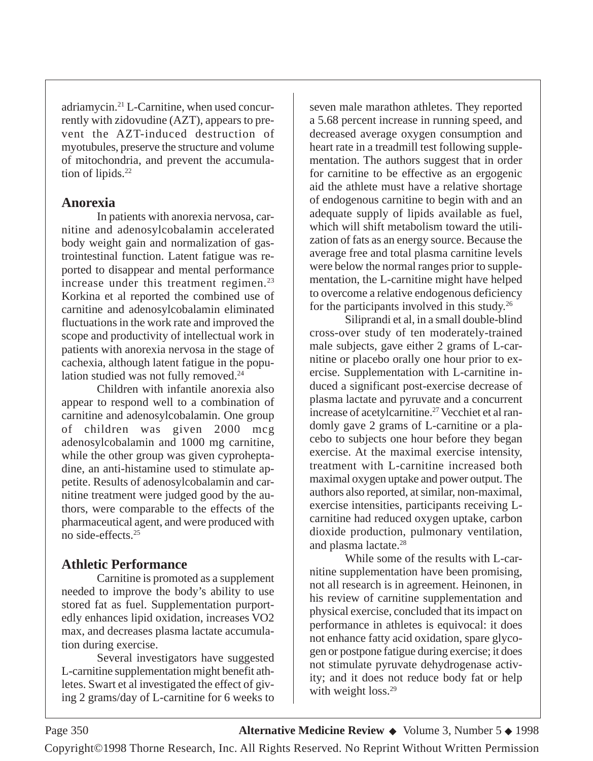adriamycin.21 L-Carnitine, when used concurrently with zidovudine (AZT), appears to prevent the AZT-induced destruction of myotubules, preserve the structure and volume of mitochondria, and prevent the accumulation of lipids.<sup>22</sup>

#### **Anorexia**

In patients with anorexia nervosa, carnitine and adenosylcobalamin accelerated body weight gain and normalization of gastrointestinal function. Latent fatigue was reported to disappear and mental performance increase under this treatment regimen. $^{23}$ Korkina et al reported the combined use of carnitine and adenosylcobalamin eliminated fluctuations in the work rate and improved the scope and productivity of intellectual work in patients with anorexia nervosa in the stage of cachexia, although latent fatigue in the population studied was not fully removed.<sup>24</sup>

Children with infantile anorexia also appear to respond well to a combination of carnitine and adenosylcobalamin. One group of children was given 2000 mcg adenosylcobalamin and 1000 mg carnitine, while the other group was given cyproheptadine, an anti-histamine used to stimulate appetite. Results of adenosylcobalamin and carnitine treatment were judged good by the authors, were comparable to the effects of the pharmaceutical agent, and were produced with no side-effects.25

## **Athletic Performance**

Carnitine is promoted as a supplement needed to improve the body's ability to use stored fat as fuel. Supplementation purportedly enhances lipid oxidation, increases VO2 max, and decreases plasma lactate accumulation during exercise.

Several investigators have suggested L-carnitine supplementation might benefit athletes. Swart et al investigated the effect of giving 2 grams/day of L-carnitine for 6 weeks to

seven male marathon athletes. They reported a 5.68 percent increase in running speed, and decreased average oxygen consumption and heart rate in a treadmill test following supplementation. The authors suggest that in order for carnitine to be effective as an ergogenic aid the athlete must have a relative shortage of endogenous carnitine to begin with and an adequate supply of lipids available as fuel, which will shift metabolism toward the utilization of fats as an energy source. Because the average free and total plasma carnitine levels were below the normal ranges prior to supplementation, the L-carnitine might have helped to overcome a relative endogenous deficiency for the participants involved in this study.26

Siliprandi et al, in a small double-blind cross-over study of ten moderately-trained male subjects, gave either 2 grams of L-carnitine or placebo orally one hour prior to exercise. Supplementation with L-carnitine induced a significant post-exercise decrease of plasma lactate and pyruvate and a concurrent increase of acetylcarnitine.<sup>27</sup> Vecchiet et al randomly gave 2 grams of L-carnitine or a placebo to subjects one hour before they began exercise. At the maximal exercise intensity, treatment with L-carnitine increased both maximal oxygen uptake and power output. The authors also reported, at similar, non-maximal, exercise intensities, participants receiving Lcarnitine had reduced oxygen uptake, carbon dioxide production, pulmonary ventilation, and plasma lactate.<sup>28</sup>

While some of the results with L-carnitine supplementation have been promising, not all research is in agreement. Heinonen, in his review of carnitine supplementation and physical exercise, concluded that its impact on performance in athletes is equivocal: it does not enhance fatty acid oxidation, spare glycogen or postpone fatigue during exercise; it does not stimulate pyruvate dehydrogenase activity; and it does not reduce body fat or help with weight loss.<sup>29</sup>

Page 350 **Alternative Medicine Review** ◆ Volume 3, Number 5 ◆ 1998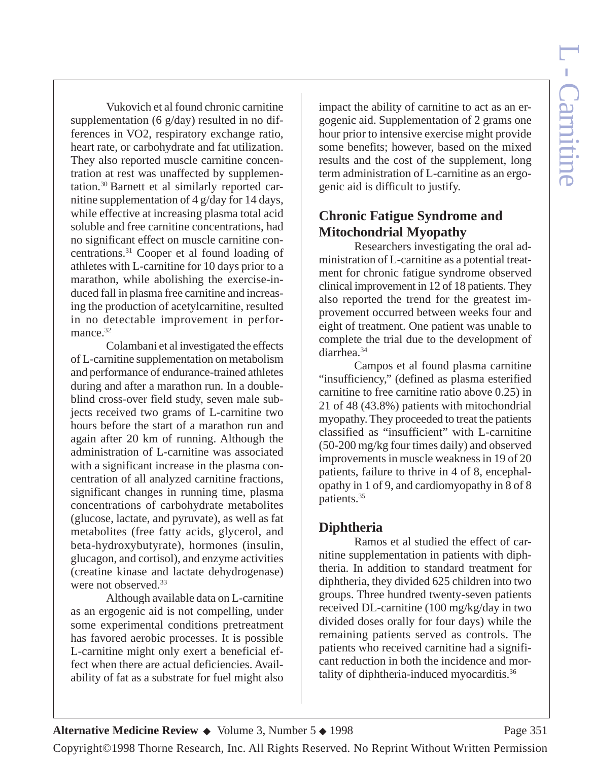Vukovich et al found chronic carnitine supplementation (6 g/day) resulted in no differences in VO2, respiratory exchange ratio, heart rate, or carbohydrate and fat utilization. They also reported muscle carnitine concentration at rest was unaffected by supplementation.30 Barnett et al similarly reported carnitine supplementation of 4 g/day for 14 days, while effective at increasing plasma total acid soluble and free carnitine concentrations, had no significant effect on muscle carnitine concentrations.31 Cooper et al found loading of athletes with L-carnitine for 10 days prior to a marathon, while abolishing the exercise-induced fall in plasma free carnitine and increasing the production of acetylcarnitine, resulted in no detectable improvement in performance.<sup>32</sup>

Colambani et al investigated the effects of L-carnitine supplementation on metabolism and performance of endurance-trained athletes during and after a marathon run. In a doubleblind cross-over field study, seven male subjects received two grams of L-carnitine two hours before the start of a marathon run and again after 20 km of running. Although the administration of L-carnitine was associated with a significant increase in the plasma concentration of all analyzed carnitine fractions, significant changes in running time, plasma concentrations of carbohydrate metabolites (glucose, lactate, and pyruvate), as well as fat metabolites (free fatty acids, glycerol, and beta-hydroxybutyrate), hormones (insulin, glucagon, and cortisol), and enzyme activities (creatine kinase and lactate dehydrogenase) were not observed.<sup>33</sup>

Although available data on L-carnitine as an ergogenic aid is not compelling, under some experimental conditions pretreatment has favored aerobic processes. It is possible L-carnitine might only exert a beneficial effect when there are actual deficiencies. Availability of fat as a substrate for fuel might also

impact the ability of carnitine to act as an ergogenic aid. Supplementation of 2 grams one hour prior to intensive exercise might provide some benefits; however, based on the mixed results and the cost of the supplement, long term administration of L-carnitine as an ergogenic aid is difficult to justify.

## **Chronic Fatigue Syndrome and Mitochondrial Myopathy**

Researchers investigating the oral administration of L-carnitine as a potential treatment for chronic fatigue syndrome observed clinical improvement in 12 of 18 patients. They also reported the trend for the greatest improvement occurred between weeks four and eight of treatment. One patient was unable to complete the trial due to the development of diarrhea.34

Campos et al found plasma carnitine "insufficiency," (defined as plasma esterified carnitine to free carnitine ratio above 0.25) in 21 of 48 (43.8%) patients with mitochondrial myopathy. They proceeded to treat the patients classified as "insufficient" with L-carnitine (50-200 mg/kg four times daily) and observed improvements in muscle weakness in 19 of 20 patients, failure to thrive in 4 of 8, encephalopathy in 1 of 9, and cardiomyopathy in 8 of 8 patients.35

## **Diphtheria**

Ramos et al studied the effect of carnitine supplementation in patients with diphtheria. In addition to standard treatment for diphtheria, they divided 625 children into two groups. Three hundred twenty-seven patients received DL-carnitine (100 mg/kg/day in two divided doses orally for four days) while the remaining patients served as controls. The patients who received carnitine had a significant reduction in both the incidence and mortality of diphtheria-induced myocarditis.36

**Alternative Medicine Review ◆** Volume 3, Number 5 ◆ 1998 Page 351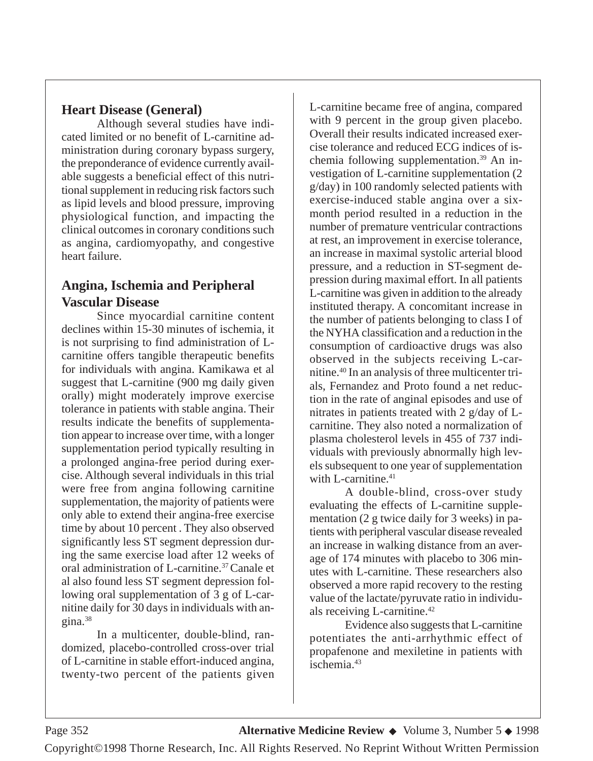### **Heart Disease (General)**

Although several studies have indicated limited or no benefit of L-carnitine administration during coronary bypass surgery, the preponderance of evidence currently available suggests a beneficial effect of this nutritional supplement in reducing risk factors such as lipid levels and blood pressure, improving physiological function, and impacting the clinical outcomes in coronary conditions such as angina, cardiomyopathy, and congestive heart failure.

### **Angina, Ischemia and Peripheral Vascular Disease**

Since myocardial carnitine content declines within 15-30 minutes of ischemia, it is not surprising to find administration of Lcarnitine offers tangible therapeutic benefits for individuals with angina. Kamikawa et al suggest that L-carnitine (900 mg daily given orally) might moderately improve exercise tolerance in patients with stable angina. Their results indicate the benefits of supplementation appear to increase over time, with a longer supplementation period typically resulting in a prolonged angina-free period during exercise. Although several individuals in this trial were free from angina following carnitine supplementation, the majority of patients were only able to extend their angina-free exercise time by about 10 percent . They also observed significantly less ST segment depression during the same exercise load after 12 weeks of oral administration of L-carnitine.37 Canale et al also found less ST segment depression following oral supplementation of 3 g of L-carnitine daily for 30 days in individuals with angina.38

In a multicenter, double-blind, randomized, placebo-controlled cross-over trial of L-carnitine in stable effort-induced angina, twenty-two percent of the patients given L-carnitine became free of angina, compared with 9 percent in the group given placebo. Overall their results indicated increased exercise tolerance and reduced ECG indices of ischemia following supplementation.<sup>39</sup> An investigation of L-carnitine supplementation (2 g/day) in 100 randomly selected patients with exercise-induced stable angina over a sixmonth period resulted in a reduction in the number of premature ventricular contractions at rest, an improvement in exercise tolerance, an increase in maximal systolic arterial blood pressure, and a reduction in ST-segment depression during maximal effort. In all patients L-carnitine was given in addition to the already instituted therapy. A concomitant increase in the number of patients belonging to class I of the NYHA classification and a reduction in the consumption of cardioactive drugs was also observed in the subjects receiving L-carnitine.40 In an analysis of three multicenter trials, Fernandez and Proto found a net reduction in the rate of anginal episodes and use of nitrates in patients treated with 2 g/day of Lcarnitine. They also noted a normalization of plasma cholesterol levels in 455 of 737 individuals with previously abnormally high levels subsequent to one year of supplementation with L-carnitine. $41$ 

A double-blind, cross-over study evaluating the effects of L-carnitine supplementation (2 g twice daily for 3 weeks) in patients with peripheral vascular disease revealed an increase in walking distance from an average of 174 minutes with placebo to 306 minutes with L-carnitine. These researchers also observed a more rapid recovery to the resting value of the lactate/pyruvate ratio in individuals receiving L-carnitine.42

Evidence also suggests that L-carnitine potentiates the anti-arrhythmic effect of propafenone and mexiletine in patients with ischemia.43

Page 352 **Alternative Medicine Review** ◆ Volume 3, Number 5 ◆ 1998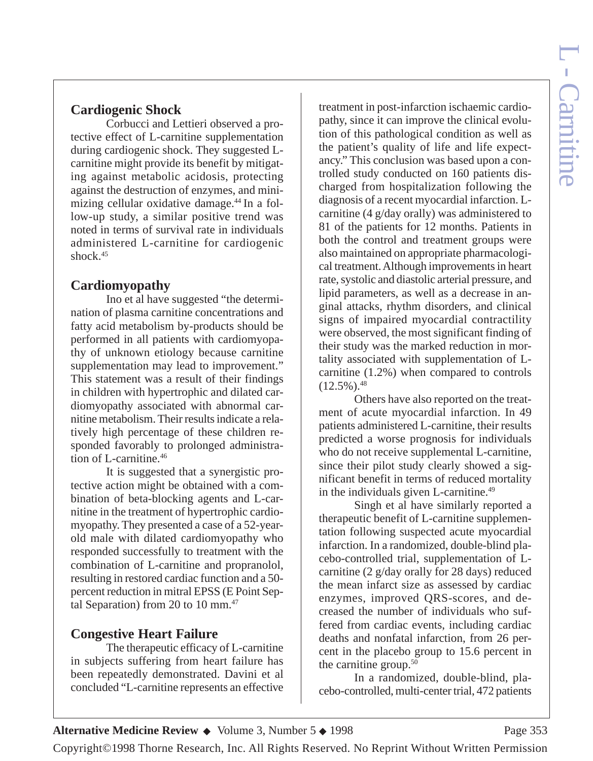# **Cardiogenic Shock**

Corbucci and Lettieri observed a protective effect of L-carnitine supplementation during cardiogenic shock. They suggested Lcarnitine might provide its benefit by mitigating against metabolic acidosis, protecting against the destruction of enzymes, and minimizing cellular oxidative damage.<sup>44</sup> In a follow-up study, a similar positive trend was noted in terms of survival rate in individuals administered L-carnitine for cardiogenic shock. $45$ 

# **Cardiomyopathy**

Ino et al have suggested "the determination of plasma carnitine concentrations and fatty acid metabolism by-products should be performed in all patients with cardiomyopathy of unknown etiology because carnitine supplementation may lead to improvement." This statement was a result of their findings in children with hypertrophic and dilated cardiomyopathy associated with abnormal carnitine metabolism. Their results indicate a relatively high percentage of these children responded favorably to prolonged administration of L-carnitine.46

It is suggested that a synergistic protective action might be obtained with a combination of beta-blocking agents and L-carnitine in the treatment of hypertrophic cardiomyopathy. They presented a case of a 52-yearold male with dilated cardiomyopathy who responded successfully to treatment with the combination of L-carnitine and propranolol, resulting in restored cardiac function and a 50 percent reduction in mitral EPSS (E Point Septal Separation) from 20 to 10 mm. $47$ 

## **Congestive Heart Failure**

The therapeutic efficacy of L-carnitine in subjects suffering from heart failure has been repeatedly demonstrated. Davini et al concluded "L-carnitine represents an effective

treatment in post-infarction ischaemic cardiopathy, since it can improve the clinical evolution of this pathological condition as well as the patient's quality of life and life expectancy." This conclusion was based upon a controlled study conducted on 160 patients discharged from hospitalization following the diagnosis of a recent myocardial infarction. Lcarnitine (4 g/day orally) was administered to 81 of the patients for 12 months. Patients in both the control and treatment groups were also maintained on appropriate pharmacological treatment. Although improvements in heart rate, systolic and diastolic arterial pressure, and lipid parameters, as well as a decrease in anginal attacks, rhythm disorders, and clinical signs of impaired myocardial contractility were observed, the most significant finding of their study was the marked reduction in mortality associated with supplementation of Lcarnitine (1.2%) when compared to controls  $(12.5\%)$ .  $48$ 

Others have also reported on the treatment of acute myocardial infarction. In 49 patients administered L-carnitine, their results predicted a worse prognosis for individuals who do not receive supplemental L-carnitine, since their pilot study clearly showed a significant benefit in terms of reduced mortality in the individuals given L-carnitine.<sup>49</sup>

Singh et al have similarly reported a therapeutic benefit of L-carnitine supplementation following suspected acute myocardial infarction. In a randomized, double-blind placebo-controlled trial, supplementation of Lcarnitine (2 g/day orally for 28 days) reduced the mean infarct size as assessed by cardiac enzymes, improved QRS-scores, and decreased the number of individuals who suffered from cardiac events, including cardiac deaths and nonfatal infarction, from 26 percent in the placebo group to 15.6 percent in the carnitine group.<sup>50</sup>

In a randomized, double-blind, placebo-controlled, multi-center trial, 472 patients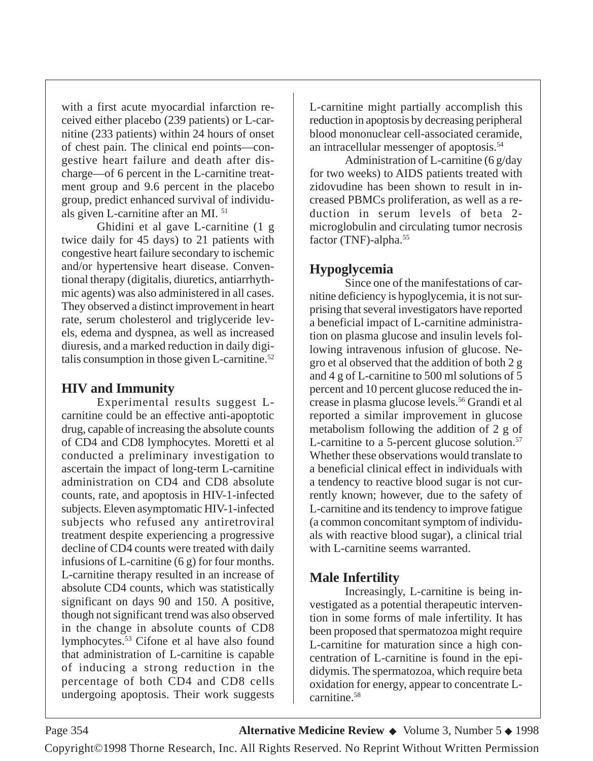with a first acute myocardial infarction received either placebo (239 patients) or L-carnitine (233 patients) within 24 hours of onset of chest pain. The clinical end points—congestive heart failure and death after discharge—of 6 percent in the L-carnitine treatment group and 9.6 percent in the placebo group, predict enhanced survival of individuals given L-carnitine after an MI. 51

Ghidini et al gave L-carnitine (1 g twice daily for 45 days) to 21 patients with congestive heart failure secondary to ischemic and/or hypertensive heart disease. Conventional therapy (digitalis, diuretics, antiarrhythmic agents) was also administered in all cases. They observed a distinct improvement in heart rate, serum cholesterol and triglyceride levels, edema and dyspnea, as well as increased diuresis, and a marked reduction in daily digitalis consumption in those given  $L$ -carnitine.<sup>52</sup>

### **HIV and Immunity**

Experimental results suggest Lcarnitine could be an effective anti-apoptotic drug, capable of increasing the absolute counts of CD4 and CD8 lymphocytes. Moretti et al conducted a preliminary investigation to ascertain the impact of long-term L-carnitine administration on CD4 and CD8 absolute counts, rate, and apoptosis in HIV-1-infected subjects. Eleven asymptomatic HIV-1-infected subjects who refused any antiretroviral treatment despite experiencing a progressive decline of CD4 counts were treated with daily infusions of L-carnitine (6 g) for four months. L-carnitine therapy resulted in an increase of absolute CD4 counts, which was statistically significant on days 90 and 150. A positive, though not significant trend was also observed in the change in absolute counts of CD8 lymphocytes.<sup>53</sup> Cifone et al have also found that administration of L-carnitine is capable of inducing a strong reduction in the percentage of both CD4 and CD8 cells undergoing apoptosis. Their work suggests

L-carnitine might partially accomplish this reduction in apoptosis by decreasing peripheral blood mononuclear cell-associated ceramide, an intracellular messenger of apoptosis.54

Administration of L-carnitine (6 g/day for two weeks) to AIDS patients treated with zidovudine has been shown to result in increased PBMCs proliferation, as well as a reduction in serum levels of beta 2 microglobulin and circulating tumor necrosis factor (TNF)-alpha.55

#### **Hypoglycemia**

Since one of the manifestations of carnitine deficiency is hypoglycemia, it is not surprising that several investigators have reported a beneficial impact of L-carnitine administration on plasma glucose and insulin levels following intravenous infusion of glucose. Negro et al observed that the addition of both 2 g and 4 g of L-carnitine to 500 ml solutions of 5 percent and 10 percent glucose reduced the increase in plasma glucose levels.56 Grandi et al reported a similar improvement in glucose metabolism following the addition of 2 g of L-carnitine to a 5-percent glucose solution.<sup>57</sup> Whether these observations would translate to a beneficial clinical effect in individuals with a tendency to reactive blood sugar is not currently known; however, due to the safety of L-carnitine and its tendency to improve fatigue (a common concomitant symptom of individuals with reactive blood sugar), a clinical trial with L-carnitine seems warranted.

### **Male Infertility**

Increasingly, L-carnitine is being investigated as a potential therapeutic intervention in some forms of male infertility. It has been proposed that spermatozoa might require L-carnitine for maturation since a high concentration of L-carnitine is found in the epididymis. The spermatozoa, which require beta oxidation for energy, appear to concentrate Lcarnitine.58

Copyright©1998 Thorne Research, Inc. All Rights Reserved. No Reprint Without Written Permission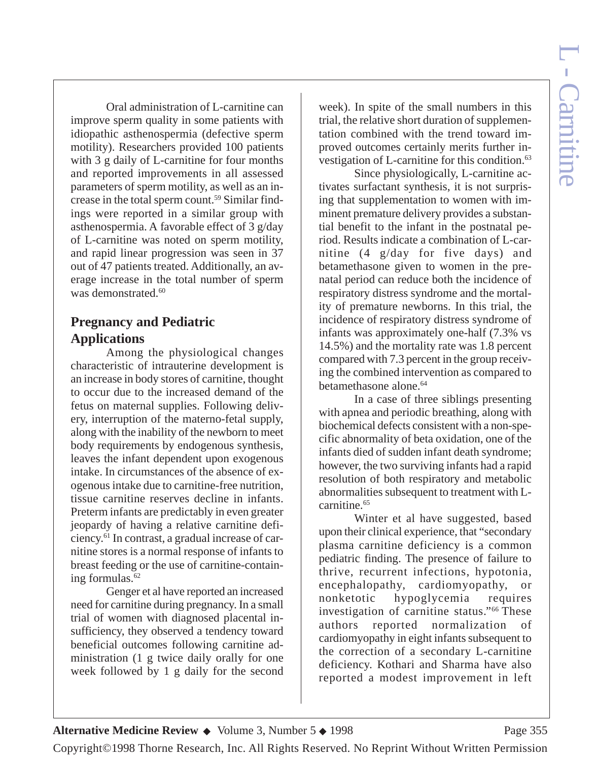Oral administration of L-carnitine can improve sperm quality in some patients with idiopathic asthenospermia (defective sperm motility). Researchers provided 100 patients with 3 g daily of L-carnitine for four months and reported improvements in all assessed parameters of sperm motility, as well as an increase in the total sperm count.59 Similar findings were reported in a similar group with asthenospermia. A favorable effect of 3 g/day of L-carnitine was noted on sperm motility, and rapid linear progression was seen in 37 out of 47 patients treated. Additionally, an average increase in the total number of sperm was demonstrated.<sup>60</sup>

### **Pregnancy and Pediatric Applications**

Among the physiological changes characteristic of intrauterine development is an increase in body stores of carnitine, thought to occur due to the increased demand of the fetus on maternal supplies. Following delivery, interruption of the materno-fetal supply, along with the inability of the newborn to meet body requirements by endogenous synthesis, leaves the infant dependent upon exogenous intake. In circumstances of the absence of exogenous intake due to carnitine-free nutrition, tissue carnitine reserves decline in infants. Preterm infants are predictably in even greater jeopardy of having a relative carnitine deficiency.61 In contrast, a gradual increase of carnitine stores is a normal response of infants to breast feeding or the use of carnitine-containing formulas.<sup>62</sup>

Genger et al have reported an increased need for carnitine during pregnancy. In a small trial of women with diagnosed placental insufficiency, they observed a tendency toward beneficial outcomes following carnitine administration (1 g twice daily orally for one week followed by 1 g daily for the second

week). In spite of the small numbers in this trial, the relative short duration of supplementation combined with the trend toward improved outcomes certainly merits further investigation of L-carnitine for this condition.<sup>63</sup>

Since physiologically, L-carnitine activates surfactant synthesis, it is not surprising that supplementation to women with imminent premature delivery provides a substantial benefit to the infant in the postnatal period. Results indicate a combination of L-carnitine (4 g/day for five days) and betamethasone given to women in the prenatal period can reduce both the incidence of respiratory distress syndrome and the mortality of premature newborns. In this trial, the incidence of respiratory distress syndrome of infants was approximately one-half (7.3% vs 14.5%) and the mortality rate was 1.8 percent compared with 7.3 percent in the group receiving the combined intervention as compared to betamethasone alone.<sup>64</sup>

In a case of three siblings presenting with apnea and periodic breathing, along with biochemical defects consistent with a non-specific abnormality of beta oxidation, one of the infants died of sudden infant death syndrome; however, the two surviving infants had a rapid resolution of both respiratory and metabolic abnormalities subsequent to treatment with Lcarnitine.<sup>65</sup>

Winter et al have suggested, based upon their clinical experience, that "secondary plasma carnitine deficiency is a common pediatric finding. The presence of failure to thrive, recurrent infections, hypotonia, encephalopathy, cardiomyopathy, or nonketotic hypoglycemia requires investigation of carnitine status."66 These authors reported normalization of cardiomyopathy in eight infants subsequent to the correction of a secondary L-carnitine deficiency. Kothari and Sharma have also reported a modest improvement in left

Copyright©1998 Thorne Research, Inc. All Rights Reserved. No Reprint Without Written Permission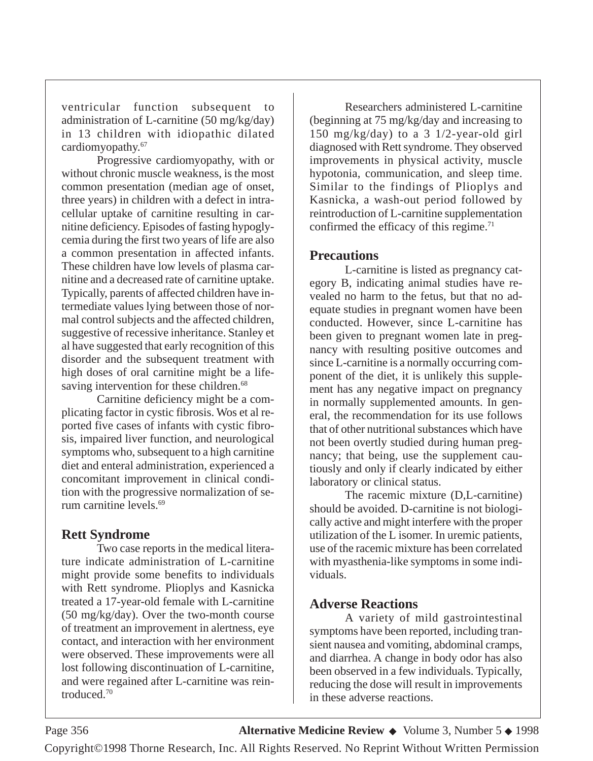ventricular function subsequent to administration of L-carnitine (50 mg/kg/day) in 13 children with idiopathic dilated cardiomyopathy.67

Progressive cardiomyopathy, with or without chronic muscle weakness, is the most common presentation (median age of onset, three years) in children with a defect in intracellular uptake of carnitine resulting in carnitine deficiency. Episodes of fasting hypoglycemia during the first two years of life are also a common presentation in affected infants. These children have low levels of plasma carnitine and a decreased rate of carnitine uptake. Typically, parents of affected children have intermediate values lying between those of normal control subjects and the affected children, suggestive of recessive inheritance. Stanley et al have suggested that early recognition of this disorder and the subsequent treatment with high doses of oral carnitine might be a lifesaving intervention for these children.<sup>68</sup>

Carnitine deficiency might be a complicating factor in cystic fibrosis. Wos et al reported five cases of infants with cystic fibrosis, impaired liver function, and neurological symptoms who, subsequent to a high carnitine diet and enteral administration, experienced a concomitant improvement in clinical condition with the progressive normalization of serum carnitine levels.69

### **Rett Syndrome**

Two case reports in the medical literature indicate administration of L-carnitine might provide some benefits to individuals with Rett syndrome. Plioplys and Kasnicka treated a 17-year-old female with L-carnitine (50 mg/kg/day). Over the two-month course of treatment an improvement in alertness, eye contact, and interaction with her environment were observed. These improvements were all lost following discontinuation of L-carnitine, and were regained after L-carnitine was reintroduced.70

Researchers administered L-carnitine (beginning at 75 mg/kg/day and increasing to 150 mg/kg/day) to a 3 1/2-year-old girl diagnosed with Rett syndrome. They observed improvements in physical activity, muscle hypotonia, communication, and sleep time. Similar to the findings of Plioplys and Kasnicka, a wash-out period followed by reintroduction of L-carnitine supplementation confirmed the efficacy of this regime.<sup>71</sup>

#### **Precautions**

L-carnitine is listed as pregnancy category B, indicating animal studies have revealed no harm to the fetus, but that no adequate studies in pregnant women have been conducted. However, since L-carnitine has been given to pregnant women late in pregnancy with resulting positive outcomes and since L-carnitine is a normally occurring component of the diet, it is unlikely this supplement has any negative impact on pregnancy in normally supplemented amounts. In general, the recommendation for its use follows that of other nutritional substances which have not been overtly studied during human pregnancy; that being, use the supplement cautiously and only if clearly indicated by either laboratory or clinical status.

The racemic mixture (D,L-carnitine) should be avoided. D-carnitine is not biologically active and might interfere with the proper utilization of the L isomer. In uremic patients, use of the racemic mixture has been correlated with myasthenia-like symptoms in some individuals.

#### **Adverse Reactions**

A variety of mild gastrointestinal symptoms have been reported, including transient nausea and vomiting, abdominal cramps, and diarrhea. A change in body odor has also been observed in a few individuals. Typically, reducing the dose will result in improvements in these adverse reactions.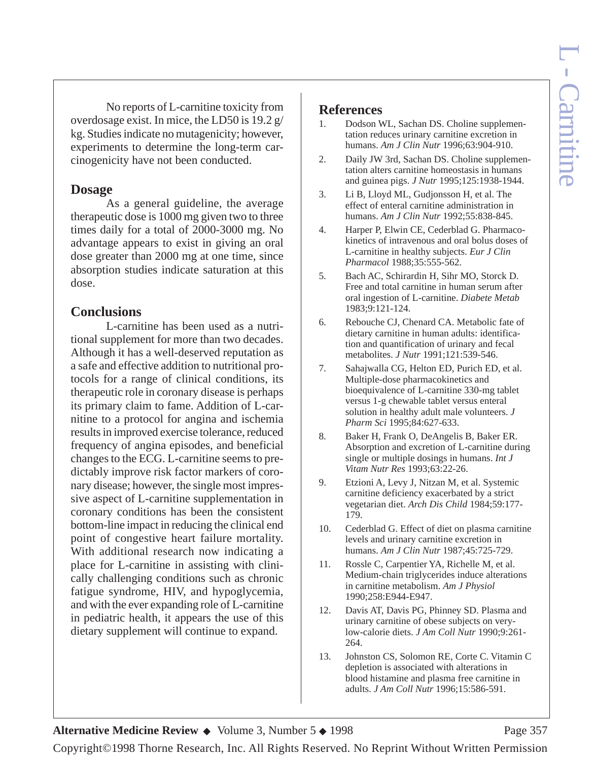No reports of L-carnitine toxicity from overdosage exist. In mice, the LD50 is 19.2 g/ kg. Studies indicate no mutagenicity; however, experiments to determine the long-term carcinogenicity have not been conducted.

#### **Dosage**

As a general guideline, the average therapeutic dose is 1000 mg given two to three times daily for a total of 2000-3000 mg. No advantage appears to exist in giving an oral dose greater than 2000 mg at one time, since absorption studies indicate saturation at this dose.

#### **Conclusions**

L-carnitine has been used as a nutritional supplement for more than two decades. Although it has a well-deserved reputation as a safe and effective addition to nutritional protocols for a range of clinical conditions, its therapeutic role in coronary disease is perhaps its primary claim to fame. Addition of L-carnitine to a protocol for angina and ischemia results in improved exercise tolerance, reduced frequency of angina episodes, and beneficial changes to the ECG. L-carnitine seems to predictably improve risk factor markers of coronary disease; however, the single most impressive aspect of L-carnitine supplementation in coronary conditions has been the consistent bottom-line impact in reducing the clinical end point of congestive heart failure mortality. With additional research now indicating a place for L-carnitine in assisting with clinically challenging conditions such as chronic fatigue syndrome, HIV, and hypoglycemia, and with the ever expanding role of L-carnitine in pediatric health, it appears the use of this dietary supplement will continue to expand.

#### **References**

- 1. Dodson WL, Sachan DS. Choline supplementation reduces urinary carnitine excretion in humans. *Am J Clin Nutr* 1996;63:904-910.
- 2. Daily JW 3rd, Sachan DS. Choline supplementation alters carnitine homeostasis in humans and guinea pigs. *J Nutr* 1995;125:1938-1944.
- 3. Li B, Lloyd ML, Gudjonsson H, et al. The effect of enteral carnitine administration in humans. *Am J Clin Nutr* 1992;55:838-845.
- 4. Harper P, Elwin CE, Cederblad G. Pharmacokinetics of intravenous and oral bolus doses of L-carnitine in healthy subjects. *Eur J Clin Pharmacol* 1988;35:555-562.
- 5. Bach AC, Schirardin H, Sihr MO, Storck D. Free and total carnitine in human serum after oral ingestion of L-carnitine. *Diabete Metab* 1983;9:121-124.
- 6. Rebouche CJ, Chenard CA. Metabolic fate of dietary carnitine in human adults: identification and quantification of urinary and fecal metabolites. *J Nutr* 1991;121:539-546.
- 7. Sahajwalla CG, Helton ED, Purich ED, et al. Multiple-dose pharmacokinetics and bioequivalence of L-carnitine 330-mg tablet versus 1-g chewable tablet versus enteral solution in healthy adult male volunteers. *J Pharm Sci* 1995;84:627-633.
- 8. Baker H, Frank O, DeAngelis B, Baker ER. Absorption and excretion of L-carnitine during single or multiple dosings in humans. *Int J Vitam Nutr Res* 1993;63:22-26.
- 9. Etzioni A, Levy J, Nitzan M, et al. Systemic carnitine deficiency exacerbated by a strict vegetarian diet. *Arch Dis Child* 1984;59:177- 179.
- 10. Cederblad G. Effect of diet on plasma carnitine levels and urinary carnitine excretion in humans. *Am J Clin Nutr* 1987;45:725-729.
- 11. Rossle C, Carpentier YA, Richelle M, et al. Medium-chain triglycerides induce alterations in carnitine metabolism. *Am J Physiol* 1990;258:E944-E947.
- 12. Davis AT, Davis PG, Phinney SD. Plasma and urinary carnitine of obese subjects on verylow-calorie diets. *J Am Coll Nutr* 1990;9:261- 264.
- 13. Johnston CS, Solomon RE, Corte C. Vitamin C depletion is associated with alterations in blood histamine and plasma free carnitine in adults. *J Am Coll Nutr* 1996;15:586-591.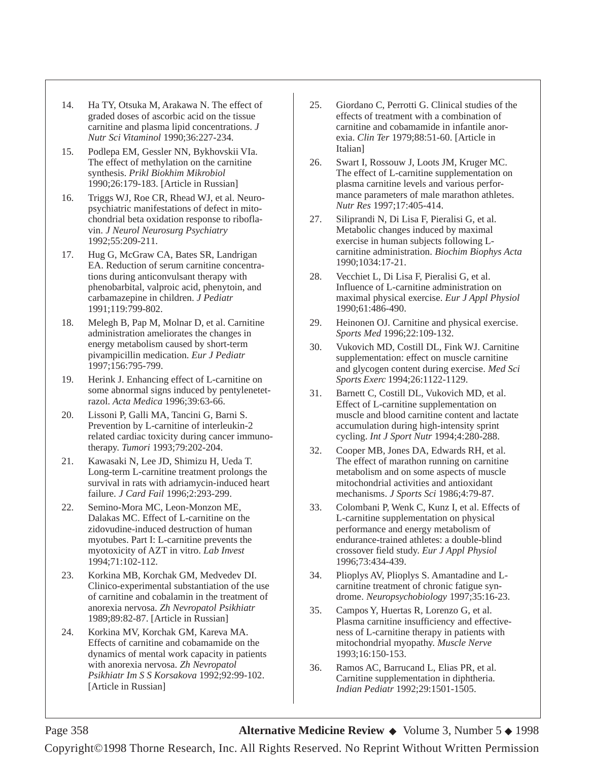- 14. Ha TY, Otsuka M, Arakawa N. The effect of graded doses of ascorbic acid on the tissue carnitine and plasma lipid concentrations. *J Nutr Sci Vitaminol* 1990;36:227-234.
- 15. Podlepa EM, Gessler NN, Bykhovskii VIa. The effect of methylation on the carnitine synthesis. *Prikl Biokhim Mikrobiol* 1990;26:179-183. [Article in Russian]
- 16. Triggs WJ, Roe CR, Rhead WJ, et al. Neuropsychiatric manifestations of defect in mitochondrial beta oxidation response to riboflavin. *J Neurol Neurosurg Psychiatry* 1992;55:209-211.
- 17. Hug G, McGraw CA, Bates SR, Landrigan EA. Reduction of serum carnitine concentrations during anticonvulsant therapy with phenobarbital, valproic acid, phenytoin, and carbamazepine in children. *J Pediatr* 1991;119:799-802.
- 18. Melegh B, Pap M, Molnar D, et al. Carnitine administration ameliorates the changes in energy metabolism caused by short-term pivampicillin medication. *Eur J Pediatr* 1997;156:795-799.
- 19. Herink J. Enhancing effect of L-carnitine on some abnormal signs induced by pentylenetetrazol. *Acta Medica* 1996;39:63-66.
- 20. Lissoni P, Galli MA, Tancini G, Barni S. Prevention by L-carnitine of interleukin-2 related cardiac toxicity during cancer immunotherapy. *Tumori* 1993;79:202-204.
- 21. Kawasaki N, Lee JD, Shimizu H, Ueda T. Long-term L-carnitine treatment prolongs the survival in rats with adriamycin-induced heart failure. *J Card Fail* 1996;2:293-299.
- 22. Semino-Mora MC, Leon-Monzon ME, Dalakas MC. Effect of L-carnitine on the zidovudine-induced destruction of human myotubes. Part I: L-carnitine prevents the myotoxicity of AZT in vitro. *Lab Invest* 1994;71:102-112.
- 23. Korkina MB, Korchak GM, Medvedev DI. Clinico-experimental substantiation of the use of carnitine and cobalamin in the treatment of anorexia nervosa. *Zh Nevropatol Psikhiatr* 1989;89:82-87. [Article in Russian]
- 24. Korkina MV, Korchak GM, Kareva MA. Effects of carnitine and cobamamide on the dynamics of mental work capacity in patients with anorexia nervosa. *Zh Nevropatol Psikhiatr Im S S Korsakova* 1992;92:99-102. [Article in Russian]
- 25. Giordano C, Perrotti G. Clinical studies of the effects of treatment with a combination of carnitine and cobamamide in infantile anorexia. *Clin Ter* 1979;88:51-60. [Article in Italian]
- 26. Swart I, Rossouw J, Loots JM, Kruger MC. The effect of L-carnitine supplementation on plasma carnitine levels and various performance parameters of male marathon athletes. *Nutr Res* 1997;17:405-414.
- 27. Siliprandi N, Di Lisa F, Pieralisi G, et al. Metabolic changes induced by maximal exercise in human subjects following Lcarnitine administration. *Biochim Biophys Acta* 1990;1034:17-21.
- 28. Vecchiet L, Di Lisa F, Pieralisi G, et al. Influence of L-carnitine administration on maximal physical exercise. *Eur J Appl Physiol* 1990;61:486-490.
- 29. Heinonen OJ. Carnitine and physical exercise. *Sports Med* 1996;22:109-132.
- 30. Vukovich MD, Costill DL, Fink WJ. Carnitine supplementation: effect on muscle carnitine and glycogen content during exercise. *Med Sci Sports Exerc* 1994;26:1122-1129.
- 31. Barnett C, Costill DL, Vukovich MD, et al. Effect of L-carnitine supplementation on muscle and blood carnitine content and lactate accumulation during high-intensity sprint cycling. *Int J Sport Nutr* 1994;4:280-288.
- 32. Cooper MB, Jones DA, Edwards RH, et al. The effect of marathon running on carnitine metabolism and on some aspects of muscle mitochondrial activities and antioxidant mechanisms. *J Sports Sci* 1986;4:79-87.
- 33. Colombani P, Wenk C, Kunz I, et al. Effects of L-carnitine supplementation on physical performance and energy metabolism of endurance-trained athletes: a double-blind crossover field study. *Eur J Appl Physiol* 1996;73:434-439.
- 34. Plioplys AV, Plioplys S. Amantadine and Lcarnitine treatment of chronic fatigue syndrome. *Neuropsychobiology* 1997;35:16-23.
- 35. Campos Y, Huertas R, Lorenzo G, et al. Plasma carnitine insufficiency and effectiveness of L-carnitine therapy in patients with mitochondrial myopathy. *Muscle Nerve* 1993;16:150-153.
- 36. Ramos AC, Barrucand L, Elias PR, et al. Carnitine supplementation in diphtheria. *Indian Pediatr* 1992;29:1501-1505.

Page 358 **Alternative Medicine Review** ◆ Volume 3, Number 5 ◆ 1998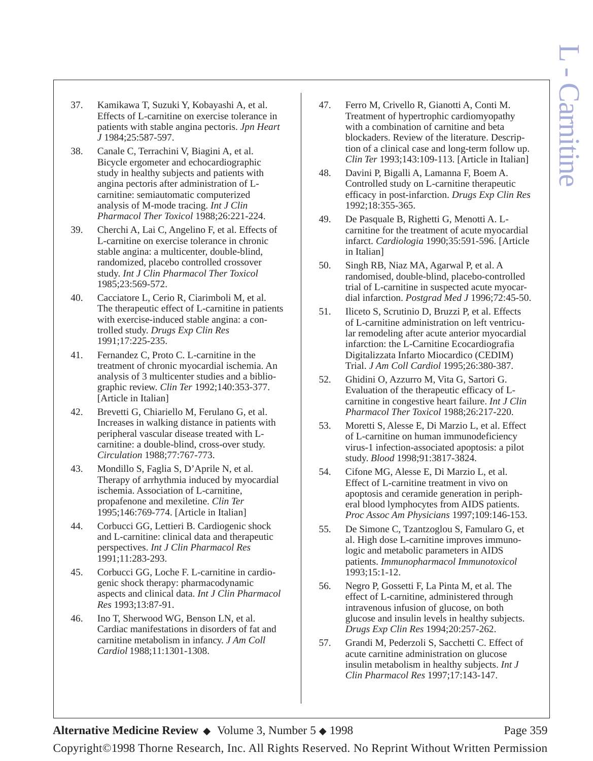- 37. Kamikawa T, Suzuki Y, Kobayashi A, et al. Effects of L-carnitine on exercise tolerance in patients with stable angina pectoris. *Jpn Heart J* 1984;25:587-597.
- 38. Canale C, Terrachini V, Biagini A, et al. Bicycle ergometer and echocardiographic study in healthy subjects and patients with angina pectoris after administration of Lcarnitine: semiautomatic computerized analysis of M-mode tracing. *Int J Clin Pharmacol Ther Toxicol* 1988;26:221-224.
- 39. Cherchi A, Lai C, Angelino F, et al. Effects of L-carnitine on exercise tolerance in chronic stable angina: a multicenter, double-blind, randomized, placebo controlled crossover study. *Int J Clin Pharmacol Ther Toxicol* 1985;23:569-572.
- 40. Cacciatore L, Cerio R, Ciarimboli M, et al. The therapeutic effect of L-carnitine in patients with exercise-induced stable angina: a controlled study. *Drugs Exp Clin Res* 1991;17:225-235.
- 41. Fernandez C, Proto C. L-carnitine in the treatment of chronic myocardial ischemia. An analysis of 3 multicenter studies and a bibliographic review. *Clin Ter* 1992;140:353-377. [Article in Italian]
- 42. Brevetti G, Chiariello M, Ferulano G, et al. Increases in walking distance in patients with peripheral vascular disease treated with Lcarnitine: a double-blind, cross-over study. *Circulation* 1988;77:767-773.
- 43. Mondillo S, Faglia S, D'Aprile N, et al. Therapy of arrhythmia induced by myocardial ischemia. Association of L-carnitine, propafenone and mexiletine. *Clin Ter* 1995;146:769-774. [Article in Italian]
- 44. Corbucci GG, Lettieri B. Cardiogenic shock and L-carnitine: clinical data and therapeutic perspectives. *Int J Clin Pharmacol Res* 1991;11:283-293.
- 45. Corbucci GG, Loche F. L-carnitine in cardiogenic shock therapy: pharmacodynamic aspects and clinical data. *Int J Clin Pharmacol Res* 1993;13:87-91.
- 46. Ino T, Sherwood WG, Benson LN, et al. Cardiac manifestations in disorders of fat and carnitine metabolism in infancy. *J Am Coll Cardiol* 1988;11:1301-1308.
- 47. Ferro M, Crivello R, Gianotti A, Conti M. Treatment of hypertrophic cardiomyopathy with a combination of carnitine and beta blockaders. Review of the literature. Description of a clinical case and long-term follow up. *Clin Ter* 1993;143:109-113. [Article in Italian]
- 48. Davini P, Bigalli A, Lamanna F, Boem A. Controlled study on L-carnitine therapeutic efficacy in post-infarction. *Drugs Exp Clin Res* 1992;18:355-365.
- 49. De Pasquale B, Righetti G, Menotti A. Lcarnitine for the treatment of acute myocardial infarct. *Cardiologia* 1990;35:591-596. [Article in Italian]
- 50. Singh RB, Niaz MA, Agarwal P, et al. A randomised, double-blind, placebo-controlled trial of L-carnitine in suspected acute myocardial infarction. *Postgrad Med J* 1996;72:45-50.
- 51. Iliceto S, Scrutinio D, Bruzzi P, et al. Effects of L-carnitine administration on left ventricular remodeling after acute anterior myocardial infarction: the L-Carnitine Ecocardiografia Digitalizzata Infarto Miocardico (CEDIM) Trial. *J Am Coll Cardiol* 1995;26:380-387.
- 52. Ghidini O, Azzurro M, Vita G, Sartori G. Evaluation of the therapeutic efficacy of Lcarnitine in congestive heart failure. *Int J Clin Pharmacol Ther Toxicol* 1988;26:217-220.
- 53. Moretti S, Alesse E, Di Marzio L, et al. Effect of L-carnitine on human immunodeficiency virus-1 infection-associated apoptosis: a pilot study. *Blood* 1998;91:3817-3824.
- 54. Cifone MG, Alesse E, Di Marzio L, et al. Effect of L-carnitine treatment in vivo on apoptosis and ceramide generation in peripheral blood lymphocytes from AIDS patients. *Proc Assoc Am Physicians* 1997;109:146-153.
- 55. De Simone C, Tzantzoglou S, Famularo G, et al. High dose L-carnitine improves immunologic and metabolic parameters in AIDS patients. *Immunopharmacol Immunotoxicol*  $\overline{1993:15:1}$ -12.
- 56. Negro P, Gossetti F, La Pinta M, et al. The effect of L-carnitine, administered through intravenous infusion of glucose, on both glucose and insulin levels in healthy subjects. *Drugs Exp Clin Res* 1994;20:257-262.
- 57. Grandi M, Pederzoli S, Sacchetti C. Effect of acute carnitine administration on glucose insulin metabolism in healthy subjects. *Int J Clin Pharmacol Res* 1997;17:143-147.

#### **Alternative Medicine Review ◆** Volume 3, Number 5 ◆ 1998 Page 359